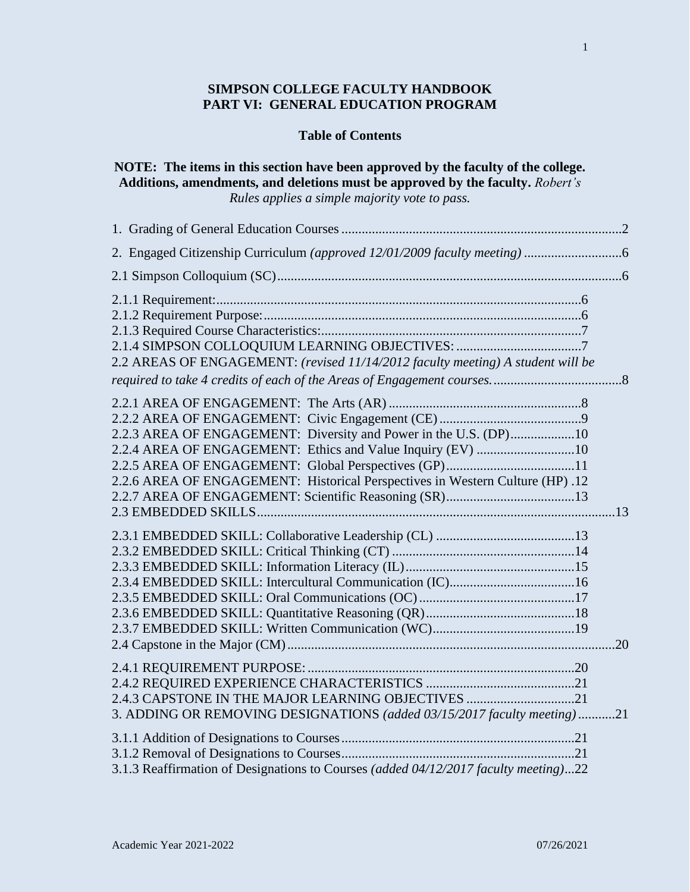# **SIMPSON COLLEGE FACULTY HANDBOOK PART VI: GENERAL EDUCATION PROGRAM**

## **Table of Contents**

| NOTE: The items in this section have been approved by the faculty of the college.     |  |
|---------------------------------------------------------------------------------------|--|
| <b>Additions, amendments, and deletions must be approved by the faculty.</b> Robert's |  |
| Rules applies a simple majority vote to pass.                                         |  |
|                                                                                       |  |
|                                                                                       |  |
|                                                                                       |  |
|                                                                                       |  |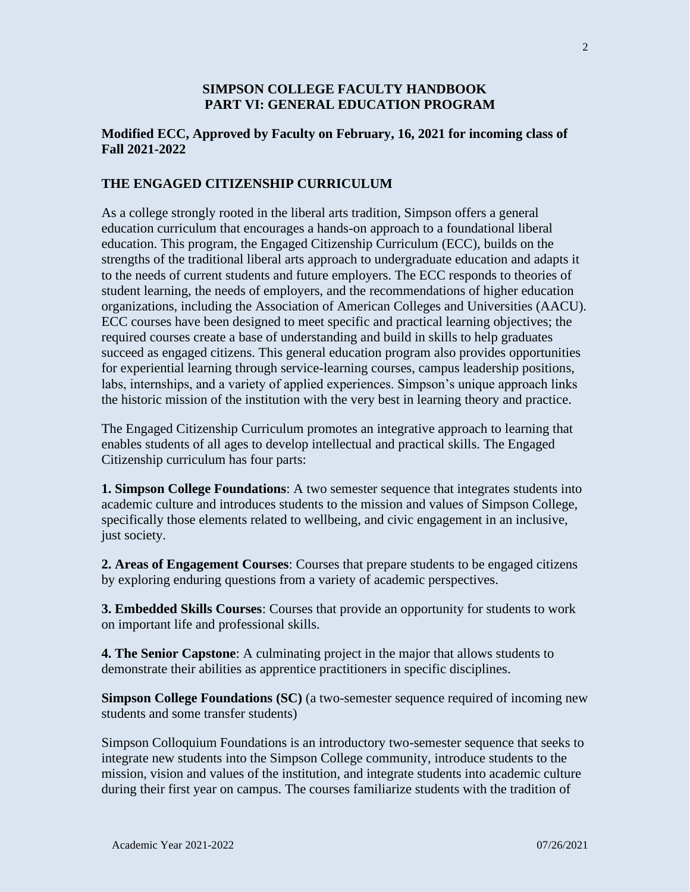### **SIMPSON COLLEGE FACULTY HANDBOOK PART VI: GENERAL EDUCATION PROGRAM**

### **Modified ECC, Approved by Faculty on February, 16, 2021 for incoming class of Fall 2021-2022**

#### **THE ENGAGED CITIZENSHIP CURRICULUM**

As a college strongly rooted in the liberal arts tradition, Simpson offers a general education curriculum that encourages a hands-on approach to a foundational liberal education. This program, the Engaged Citizenship Curriculum (ECC), builds on the strengths of the traditional liberal arts approach to undergraduate education and adapts it to the needs of current students and future employers. The ECC responds to theories of student learning, the needs of employers, and the recommendations of higher education organizations, including the Association of American Colleges and Universities (AACU). ECC courses have been designed to meet specific and practical learning objectives; the required courses create a base of understanding and build in skills to help graduates succeed as engaged citizens. This general education program also provides opportunities for experiential learning through service-learning courses, campus leadership positions, labs, internships, and a variety of applied experiences. Simpson's unique approach links the historic mission of the institution with the very best in learning theory and practice.

The Engaged Citizenship Curriculum promotes an integrative approach to learning that enables students of all ages to develop intellectual and practical skills. The Engaged Citizenship curriculum has four parts:

**1. Simpson College Foundations**: A two semester sequence that integrates students into academic culture and introduces students to the mission and values of Simpson College, specifically those elements related to wellbeing, and civic engagement in an inclusive, just society.

**2. Areas of Engagement Courses**: Courses that prepare students to be engaged citizens by exploring enduring questions from a variety of academic perspectives.

**3. Embedded Skills Courses**: Courses that provide an opportunity for students to work on important life and professional skills.

**4. The Senior Capstone**: A culminating project in the major that allows students to demonstrate their abilities as apprentice practitioners in specific disciplines.

**Simpson College Foundations (SC)** (a two-semester sequence required of incoming new students and some transfer students)

Simpson Colloquium Foundations is an introductory two-semester sequence that seeks to integrate new students into the Simpson College community, introduce students to the mission, vision and values of the institution, and integrate students into academic culture during their first year on campus. The courses familiarize students with the tradition of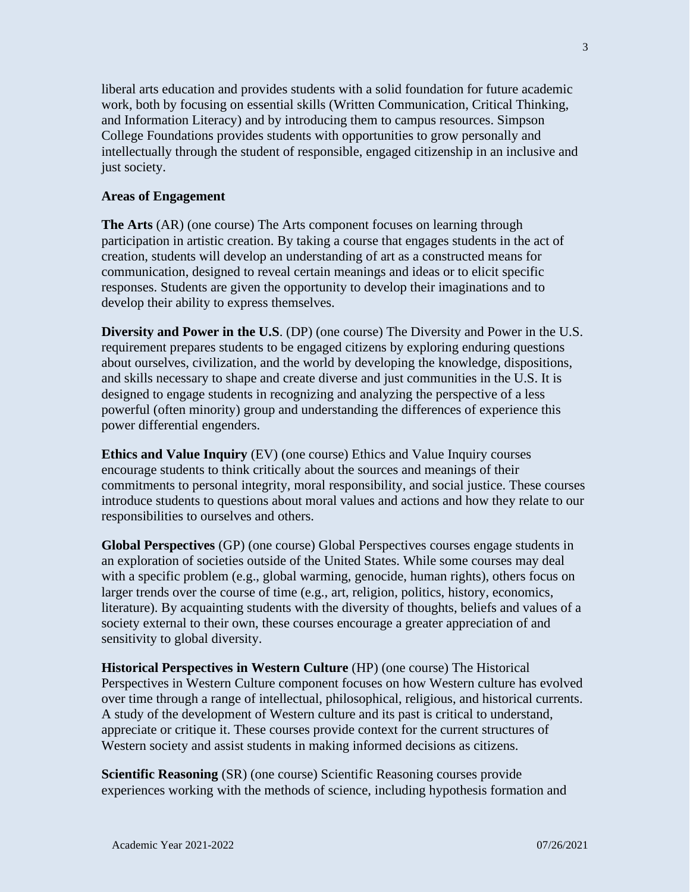liberal arts education and provides students with a solid foundation for future academic work, both by focusing on essential skills (Written Communication, Critical Thinking, and Information Literacy) and by introducing them to campus resources. Simpson College Foundations provides students with opportunities to grow personally and intellectually through the student of responsible, engaged citizenship in an inclusive and just society.

#### **Areas of Engagement**

**The Arts** (AR) (one course) The Arts component focuses on learning through participation in artistic creation. By taking a course that engages students in the act of creation, students will develop an understanding of art as a constructed means for communication, designed to reveal certain meanings and ideas or to elicit specific responses. Students are given the opportunity to develop their imaginations and to develop their ability to express themselves.

**Diversity and Power in the U.S**. (DP) (one course) The Diversity and Power in the U.S. requirement prepares students to be engaged citizens by exploring enduring questions about ourselves, civilization, and the world by developing the knowledge, dispositions, and skills necessary to shape and create diverse and just communities in the U.S. It is designed to engage students in recognizing and analyzing the perspective of a less powerful (often minority) group and understanding the differences of experience this power differential engenders.

**Ethics and Value Inquiry** (EV) (one course) Ethics and Value Inquiry courses encourage students to think critically about the sources and meanings of their commitments to personal integrity, moral responsibility, and social justice. These courses introduce students to questions about moral values and actions and how they relate to our responsibilities to ourselves and others.

**Global Perspectives** (GP) (one course) Global Perspectives courses engage students in an exploration of societies outside of the United States. While some courses may deal with a specific problem (e.g., global warming, genocide, human rights), others focus on larger trends over the course of time (e.g., art, religion, politics, history, economics, literature). By acquainting students with the diversity of thoughts, beliefs and values of a society external to their own, these courses encourage a greater appreciation of and sensitivity to global diversity.

**Historical Perspectives in Western Culture** (HP) (one course) The Historical Perspectives in Western Culture component focuses on how Western culture has evolved over time through a range of intellectual, philosophical, religious, and historical currents. A study of the development of Western culture and its past is critical to understand, appreciate or critique it. These courses provide context for the current structures of Western society and assist students in making informed decisions as citizens.

**Scientific Reasoning** (SR) (one course) Scientific Reasoning courses provide experiences working with the methods of science, including hypothesis formation and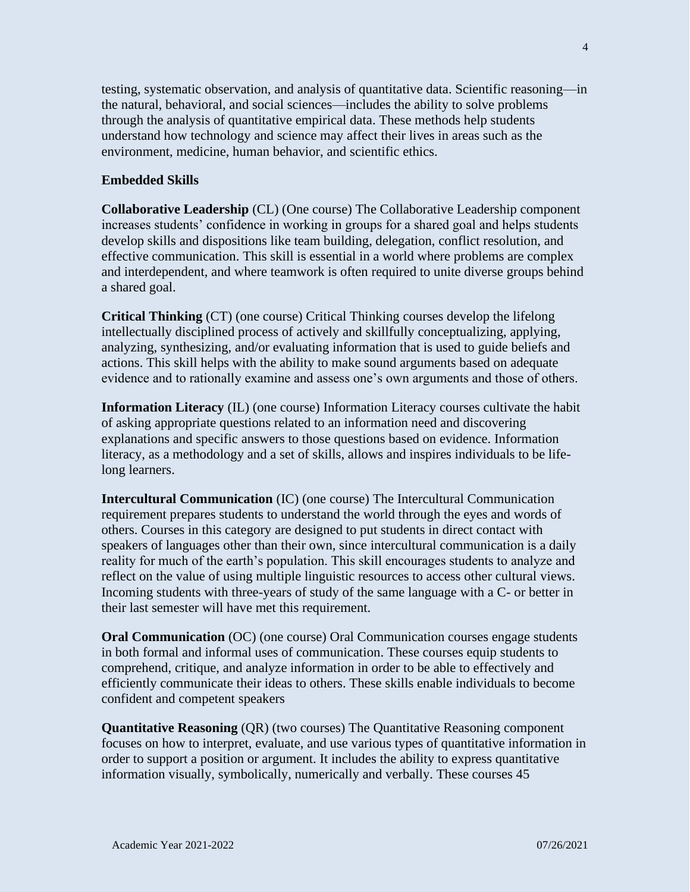testing, systematic observation, and analysis of quantitative data. Scientific reasoning—in the natural, behavioral, and social sciences—includes the ability to solve problems through the analysis of quantitative empirical data. These methods help students understand how technology and science may affect their lives in areas such as the environment, medicine, human behavior, and scientific ethics.

#### **Embedded Skills**

**Collaborative Leadership** (CL) (One course) The Collaborative Leadership component increases students' confidence in working in groups for a shared goal and helps students develop skills and dispositions like team building, delegation, conflict resolution, and effective communication. This skill is essential in a world where problems are complex and interdependent, and where teamwork is often required to unite diverse groups behind a shared goal.

**Critical Thinking** (CT) (one course) Critical Thinking courses develop the lifelong intellectually disciplined process of actively and skillfully conceptualizing, applying, analyzing, synthesizing, and/or evaluating information that is used to guide beliefs and actions. This skill helps with the ability to make sound arguments based on adequate evidence and to rationally examine and assess one's own arguments and those of others.

**Information Literacy** (IL) (one course) Information Literacy courses cultivate the habit of asking appropriate questions related to an information need and discovering explanations and specific answers to those questions based on evidence. Information literacy, as a methodology and a set of skills, allows and inspires individuals to be lifelong learners.

**Intercultural Communication** (IC) (one course) The Intercultural Communication requirement prepares students to understand the world through the eyes and words of others. Courses in this category are designed to put students in direct contact with speakers of languages other than their own, since intercultural communication is a daily reality for much of the earth's population. This skill encourages students to analyze and reflect on the value of using multiple linguistic resources to access other cultural views. Incoming students with three-years of study of the same language with a C- or better in their last semester will have met this requirement.

**Oral Communication** (OC) (one course) Oral Communication courses engage students in both formal and informal uses of communication. These courses equip students to comprehend, critique, and analyze information in order to be able to effectively and efficiently communicate their ideas to others. These skills enable individuals to become confident and competent speakers

**Quantitative Reasoning** (QR) (two courses) The Quantitative Reasoning component focuses on how to interpret, evaluate, and use various types of quantitative information in order to support a position or argument. It includes the ability to express quantitative information visually, symbolically, numerically and verbally. These courses 45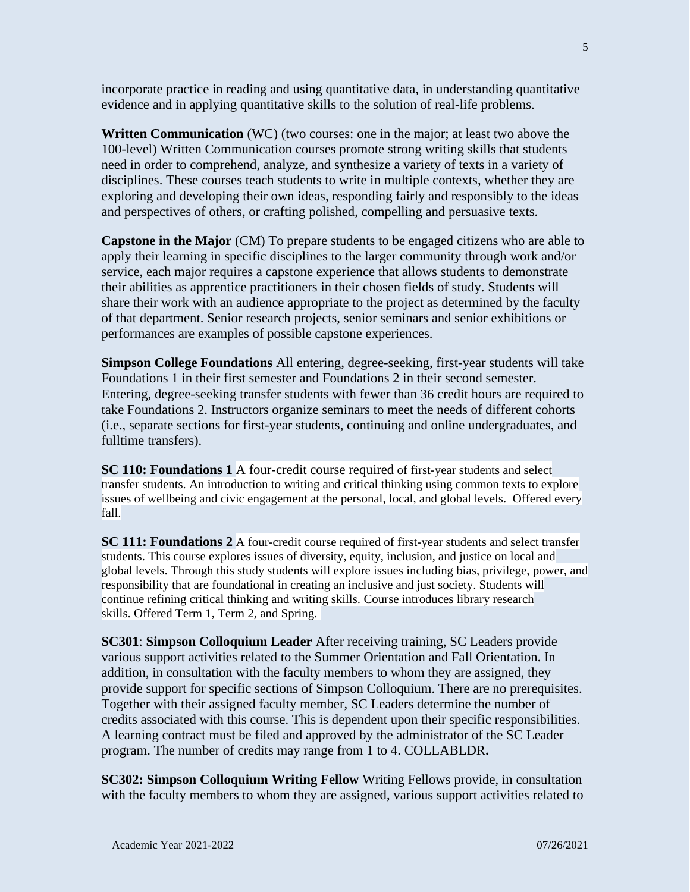incorporate practice in reading and using quantitative data, in understanding quantitative evidence and in applying quantitative skills to the solution of real-life problems.

**Written Communication** (WC) (two courses: one in the major; at least two above the 100-level) Written Communication courses promote strong writing skills that students need in order to comprehend, analyze, and synthesize a variety of texts in a variety of disciplines. These courses teach students to write in multiple contexts, whether they are exploring and developing their own ideas, responding fairly and responsibly to the ideas and perspectives of others, or crafting polished, compelling and persuasive texts.

**Capstone in the Major** (CM) To prepare students to be engaged citizens who are able to apply their learning in specific disciplines to the larger community through work and/or service, each major requires a capstone experience that allows students to demonstrate their abilities as apprentice practitioners in their chosen fields of study. Students will share their work with an audience appropriate to the project as determined by the faculty of that department. Senior research projects, senior seminars and senior exhibitions or performances are examples of possible capstone experiences.

**Simpson College Foundations** All entering, degree-seeking, first-year students will take Foundations 1 in their first semester and Foundations 2 in their second semester. Entering, degree-seeking transfer students with fewer than 36 credit hours are required to take Foundations 2. Instructors organize seminars to meet the needs of different cohorts (i.e., separate sections for first-year students, continuing and online undergraduates, and fulltime transfers).

**SC 110: Foundations 1** A four-credit course required of first-year students and select transfer students. An introduction to writing and critical thinking using common texts to explore issues of wellbeing and civic engagement at the personal, local, and global levels. Offered every fall.

**SC 111: Foundations 2** A four-credit course required of first-year students and select transfer students. This course explores issues of diversity, equity, inclusion, and justice on local and global levels. Through this study students will explore issues including bias, privilege, power, and responsibility that are foundational in creating an inclusive and just society. Students will continue refining critical thinking and writing skills. Course introduces library research skills. Offered Term 1, Term 2, and Spring.

**SC301**: **Simpson Colloquium Leader** After receiving training, SC Leaders provide various support activities related to the Summer Orientation and Fall Orientation. In addition, in consultation with the faculty members to whom they are assigned, they provide support for specific sections of Simpson Colloquium. There are no prerequisites. Together with their assigned faculty member, SC Leaders determine the number of credits associated with this course. This is dependent upon their specific responsibilities. A learning contract must be filed and approved by the administrator of the SC Leader program. The number of credits may range from 1 to 4. COLLABLDR**.**

**SC302: Simpson Colloquium Writing Fellow** Writing Fellows provide, in consultation with the faculty members to whom they are assigned, various support activities related to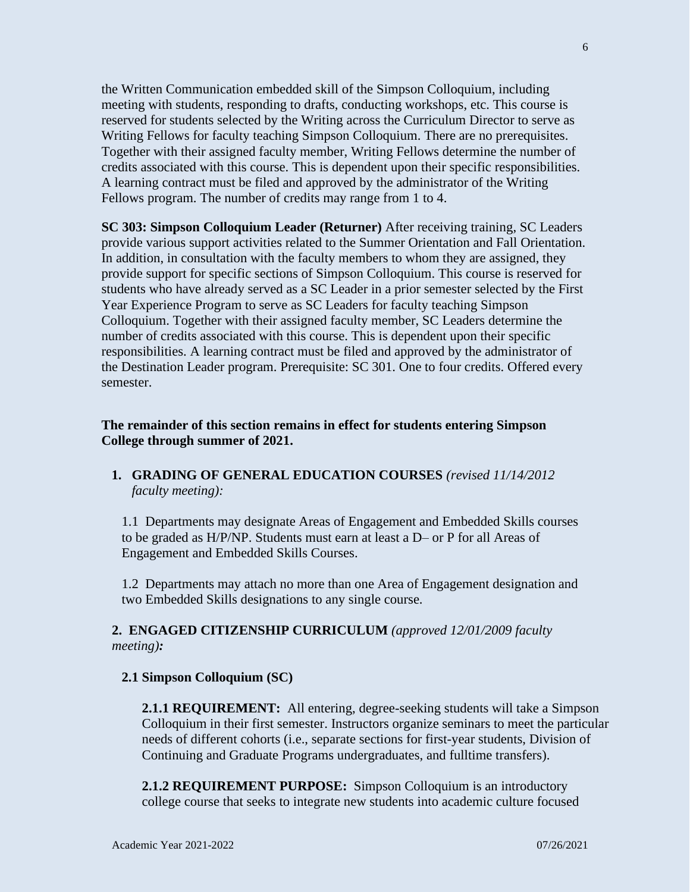the Written Communication embedded skill of the Simpson Colloquium, including meeting with students, responding to drafts, conducting workshops, etc. This course is reserved for students selected by the Writing across the Curriculum Director to serve as Writing Fellows for faculty teaching Simpson Colloquium. There are no prerequisites. Together with their assigned faculty member, Writing Fellows determine the number of credits associated with this course. This is dependent upon their specific responsibilities. A learning contract must be filed and approved by the administrator of the Writing Fellows program. The number of credits may range from 1 to 4.

**SC 303: Simpson Colloquium Leader (Returner)** After receiving training, SC Leaders provide various support activities related to the Summer Orientation and Fall Orientation. In addition, in consultation with the faculty members to whom they are assigned, they provide support for specific sections of Simpson Colloquium. This course is reserved for students who have already served as a SC Leader in a prior semester selected by the First Year Experience Program to serve as SC Leaders for faculty teaching Simpson Colloquium. Together with their assigned faculty member, SC Leaders determine the number of credits associated with this course. This is dependent upon their specific responsibilities. A learning contract must be filed and approved by the administrator of the Destination Leader program. Prerequisite: SC 301. One to four credits. Offered every semester.

#### **The remainder of this section remains in effect for students entering Simpson College through summer of 2021.**

## **1. GRADING OF GENERAL EDUCATION COURSES** *(revised 11/14/2012 faculty meeting):*

1.1 Departments may designate Areas of Engagement and Embedded Skills courses to be graded as H/P/NP. Students must earn at least a D– or P for all Areas of Engagement and Embedded Skills Courses.

1.2 Departments may attach no more than one Area of Engagement designation and two Embedded Skills designations to any single course.

## **2. ENGAGED CITIZENSHIP CURRICULUM** *(approved 12/01/2009 faculty meeting):*

## **2.1 Simpson Colloquium (SC)**

**2.1.1 REQUIREMENT:** All entering, degree-seeking students will take a Simpson Colloquium in their first semester. Instructors organize seminars to meet the particular needs of different cohorts (i.e., separate sections for first-year students, Division of Continuing and Graduate Programs undergraduates, and fulltime transfers).

**2.1.2 REQUIREMENT PURPOSE:** Simpson Colloquium is an introductory college course that seeks to integrate new students into academic culture focused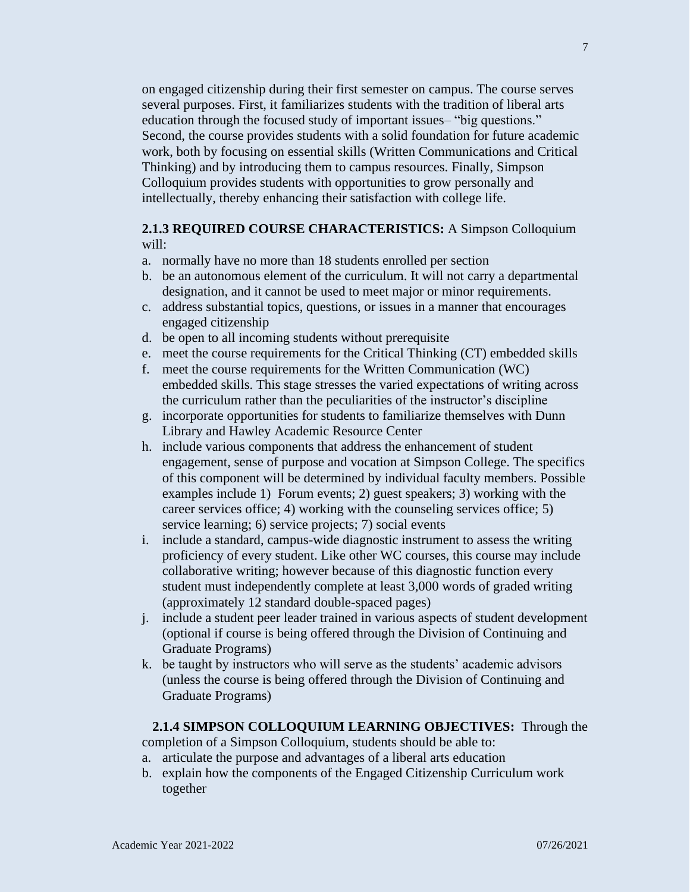on engaged citizenship during their first semester on campus. The course serves several purposes. First, it familiarizes students with the tradition of liberal arts education through the focused study of important issues– "big questions." Second, the course provides students with a solid foundation for future academic work, both by focusing on essential skills (Written Communications and Critical Thinking) and by introducing them to campus resources. Finally, Simpson Colloquium provides students with opportunities to grow personally and intellectually, thereby enhancing their satisfaction with college life.

#### **2.1.3 REQUIRED COURSE CHARACTERISTICS:** A Simpson Colloquium  $will'$

- a. normally have no more than 18 students enrolled per section
- b. be an autonomous element of the curriculum. It will not carry a departmental designation, and it cannot be used to meet major or minor requirements.
- c. address substantial topics, questions, or issues in a manner that encourages engaged citizenship
- d. be open to all incoming students without prerequisite
- e. meet the course requirements for the Critical Thinking (CT) embedded skills
- f. meet the course requirements for the Written Communication (WC) embedded skills. This stage stresses the varied expectations of writing across the curriculum rather than the peculiarities of the instructor's discipline
- g. incorporate opportunities for students to familiarize themselves with Dunn Library and Hawley Academic Resource Center
- h. include various components that address the enhancement of student engagement, sense of purpose and vocation at Simpson College. The specifics of this component will be determined by individual faculty members. Possible examples include 1) Forum events; 2) guest speakers; 3) working with the career services office; 4) working with the counseling services office; 5) service learning; 6) service projects; 7) social events
- i. include a standard, campus-wide diagnostic instrument to assess the writing proficiency of every student. Like other WC courses, this course may include collaborative writing; however because of this diagnostic function every student must independently complete at least 3,000 words of graded writing (approximately 12 standard double-spaced pages)
- j. include a student peer leader trained in various aspects of student development (optional if course is being offered through the Division of Continuing and Graduate Programs)
- k. be taught by instructors who will serve as the students' academic advisors (unless the course is being offered through the Division of Continuing and Graduate Programs)

# **2.1.4 SIMPSON COLLOQUIUM LEARNING OBJECTIVES:** Through the

completion of a Simpson Colloquium, students should be able to:

- a. articulate the purpose and advantages of a liberal arts education
- b. explain how the components of the Engaged Citizenship Curriculum work together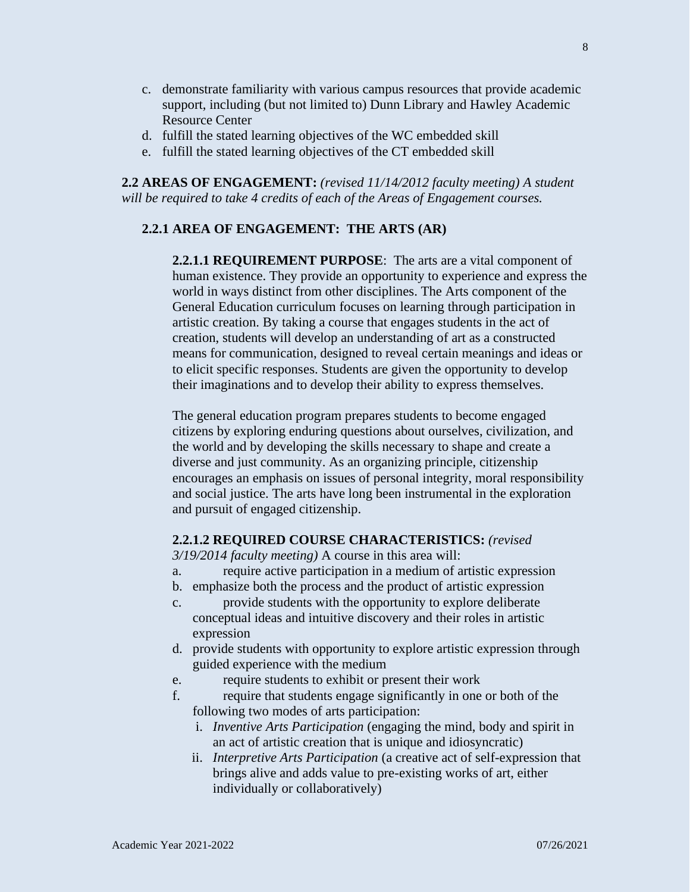- c. demonstrate familiarity with various campus resources that provide academic support, including (but not limited to) Dunn Library and Hawley Academic Resource Center
- d. fulfill the stated learning objectives of the WC embedded skill
- e. fulfill the stated learning objectives of the CT embedded skill

**2.2 AREAS OF ENGAGEMENT:** *(revised 11/14/2012 faculty meeting) A student will be required to take 4 credits of each of the Areas of Engagement courses.*

## **2.2.1 AREA OF ENGAGEMENT: THE ARTS (AR)**

**2.2.1.1 REQUIREMENT PURPOSE**: The arts are a vital component of human existence. They provide an opportunity to experience and express the world in ways distinct from other disciplines. The Arts component of the General Education curriculum focuses on learning through participation in artistic creation. By taking a course that engages students in the act of creation, students will develop an understanding of art as a constructed means for communication, designed to reveal certain meanings and ideas or to elicit specific responses. Students are given the opportunity to develop their imaginations and to develop their ability to express themselves.

The general education program prepares students to become engaged citizens by exploring enduring questions about ourselves, civilization, and the world and by developing the skills necessary to shape and create a diverse and just community. As an organizing principle, citizenship encourages an emphasis on issues of personal integrity, moral responsibility and social justice. The arts have long been instrumental in the exploration and pursuit of engaged citizenship.

## **2.2.1.2 REQUIRED COURSE CHARACTERISTICS:** *(revised*

*3/19/2014 faculty meeting)* A course in this area will:

- a. require active participation in a medium of artistic expression
- b. emphasize both the process and the product of artistic expression
- c. provide students with the opportunity to explore deliberate conceptual ideas and intuitive discovery and their roles in artistic expression
- d. provide students with opportunity to explore artistic expression through guided experience with the medium
- e. require students to exhibit or present their work
- f. require that students engage significantly in one or both of the following two modes of arts participation:
	- i. *Inventive Arts Participation* (engaging the mind, body and spirit in an act of artistic creation that is unique and idiosyncratic)
	- ii. *Interpretive Arts Participation* (a creative act of self-expression that brings alive and adds value to pre-existing works of art, either individually or collaboratively)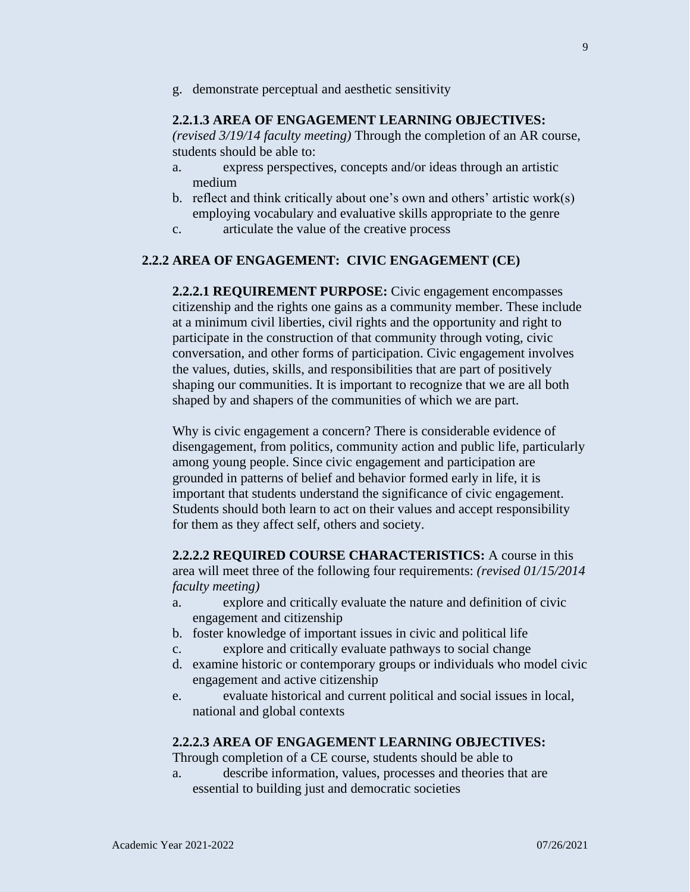g. demonstrate perceptual and aesthetic sensitivity

#### **2.2.1.3 AREA OF ENGAGEMENT LEARNING OBJECTIVES:**

*(revised 3/19/14 faculty meeting)* Through the completion of an AR course, students should be able to:

- a. express perspectives, concepts and/or ideas through an artistic medium
- b. reflect and think critically about one's own and others' artistic work(s) employing vocabulary and evaluative skills appropriate to the genre
- c. articulate the value of the creative process

#### **2.2.2 AREA OF ENGAGEMENT: CIVIC ENGAGEMENT (CE)**

**2.2.2.1 REQUIREMENT PURPOSE:** Civic engagement encompasses citizenship and the rights one gains as a community member. These include at a minimum civil liberties, civil rights and the opportunity and right to participate in the construction of that community through voting, civic conversation, and other forms of participation. Civic engagement involves the values, duties, skills, and responsibilities that are part of positively shaping our communities. It is important to recognize that we are all both shaped by and shapers of the communities of which we are part.

Why is civic engagement a concern? There is considerable evidence of disengagement, from politics, community action and public life, particularly among young people. Since civic engagement and participation are grounded in patterns of belief and behavior formed early in life, it is important that students understand the significance of civic engagement. Students should both learn to act on their values and accept responsibility for them as they affect self, others and society.

**2.2.2.2 REQUIRED COURSE CHARACTERISTICS:** A course in this area will meet three of the following four requirements: *(revised 01/15/2014 faculty meeting)*

- a. explore and critically evaluate the nature and definition of civic engagement and citizenship
- b. foster knowledge of important issues in civic and political life
- c. explore and critically evaluate pathways to social change
- d. examine historic or contemporary groups or individuals who model civic engagement and active citizenship
- e. evaluate historical and current political and social issues in local, national and global contexts

#### **2.2.2.3 AREA OF ENGAGEMENT LEARNING OBJECTIVES:**

Through completion of a CE course, students should be able to

a. describe information, values, processes and theories that are essential to building just and democratic societies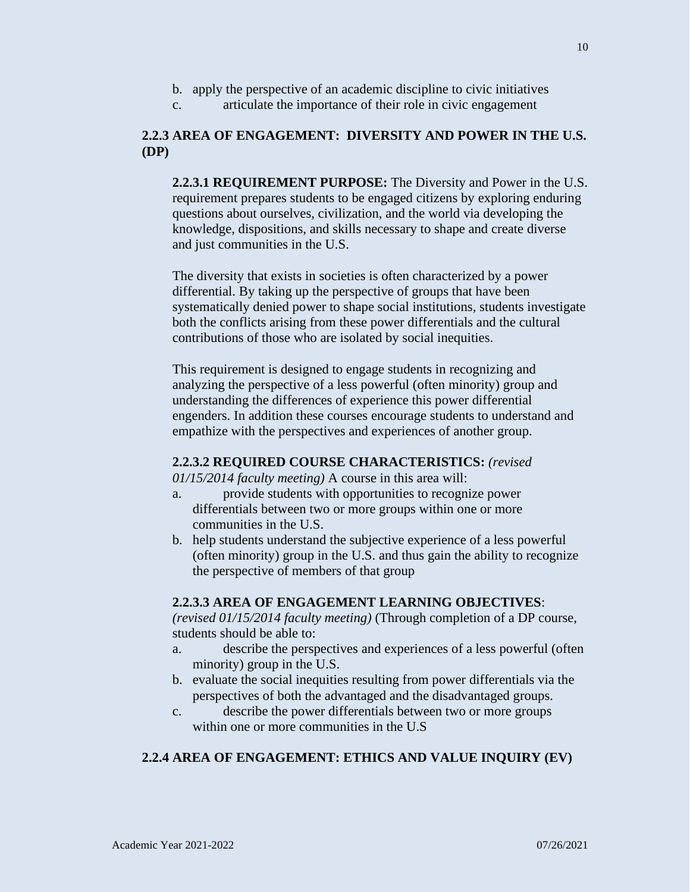- b. apply the perspective of an academic discipline to civic initiatives
- c. articulate the importance of their role in civic engagement

# **2.2.3 AREA OF ENGAGEMENT: DIVERSITY AND POWER IN THE U.S. (DP)**

**2.2.3.1 REQUIREMENT PURPOSE:** The Diversity and Power in the U.S. requirement prepares students to be engaged citizens by exploring enduring questions about ourselves, civilization, and the world via developing the knowledge, dispositions, and skills necessary to shape and create diverse and just communities in the U.S.

The diversity that exists in societies is often characterized by a power differential. By taking up the perspective of groups that have been systematically denied power to shape social institutions, students investigate both the conflicts arising from these power differentials and the cultural contributions of those who are isolated by social inequities.

This requirement is designed to engage students in recognizing and analyzing the perspective of a less powerful (often minority) group and understanding the differences of experience this power differential engenders. In addition these courses encourage students to understand and empathize with the perspectives and experiences of another group.

#### **2.2.3.2 REQUIRED COURSE CHARACTERISTICS:** *(revised*

*01/15/2014 faculty meeting)* A course in this area will:

- a. provide students with opportunities to recognize power differentials between two or more groups within one or more communities in the U.S.
- b. help students understand the subjective experience of a less powerful (often minority) group in the U.S. and thus gain the ability to recognize the perspective of members of that group

## **2.2.3.3 AREA OF ENGAGEMENT LEARNING OBJECTIVES**:

*(revised 01/15/2014 faculty meeting)* (Through completion of a DP course, students should be able to:

- a. describe the perspectives and experiences of a less powerful (often minority) group in the U.S.
- b. evaluate the social inequities resulting from power differentials via the perspectives of both the advantaged and the disadvantaged groups.
- c. describe the power differentials between two or more groups within one or more communities in the U.S

## **2.2.4 AREA OF ENGAGEMENT: ETHICS AND VALUE INQUIRY (EV)**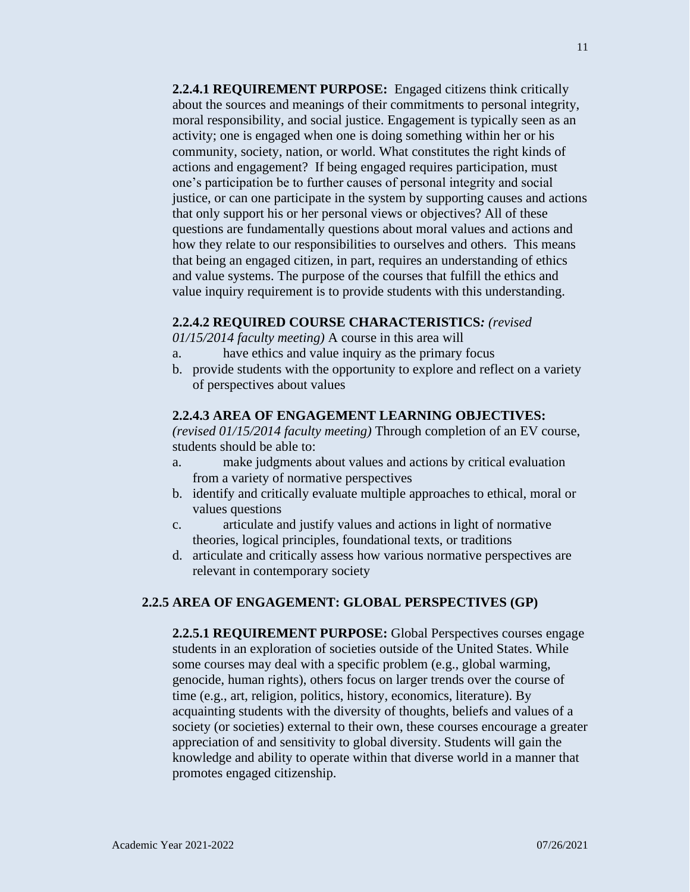**2.2.4.1 REQUIREMENT PURPOSE:** Engaged citizens think critically about the sources and meanings of their commitments to personal integrity, moral responsibility, and social justice. Engagement is typically seen as an activity; one is engaged when one is doing something within her or his community, society, nation, or world. What constitutes the right kinds of actions and engagement? If being engaged requires participation, must one's participation be to further causes of personal integrity and social justice, or can one participate in the system by supporting causes and actions that only support his or her personal views or objectives? All of these questions are fundamentally questions about moral values and actions and how they relate to our responsibilities to ourselves and others. This means that being an engaged citizen, in part, requires an understanding of ethics and value systems. The purpose of the courses that fulfill the ethics and value inquiry requirement is to provide students with this understanding.

#### **2.2.4.2 REQUIRED COURSE CHARACTERISTICS***: (revised*

*01/15/2014 faculty meeting)* A course in this area will

- a. have ethics and value inquiry as the primary focus
- b. provide students with the opportunity to explore and reflect on a variety of perspectives about values

#### **2.2.4.3 AREA OF ENGAGEMENT LEARNING OBJECTIVES:**

*(revised 01/15/2014 faculty meeting)* Through completion of an EV course, students should be able to:

- a. make judgments about values and actions by critical evaluation from a variety of normative perspectives
- b. identify and critically evaluate multiple approaches to ethical, moral or values questions
- c. articulate and justify values and actions in light of normative theories, logical principles, foundational texts, or traditions
- d. articulate and critically assess how various normative perspectives are relevant in contemporary society

#### **2.2.5 AREA OF ENGAGEMENT: GLOBAL PERSPECTIVES (GP)**

**2.2.5.1 REQUIREMENT PURPOSE:** Global Perspectives courses engage students in an exploration of societies outside of the United States. While some courses may deal with a specific problem (e.g., global warming, genocide, human rights), others focus on larger trends over the course of time (e.g., art, religion, politics, history, economics, literature). By acquainting students with the diversity of thoughts, beliefs and values of a society (or societies) external to their own, these courses encourage a greater appreciation of and sensitivity to global diversity. Students will gain the knowledge and ability to operate within that diverse world in a manner that promotes engaged citizenship.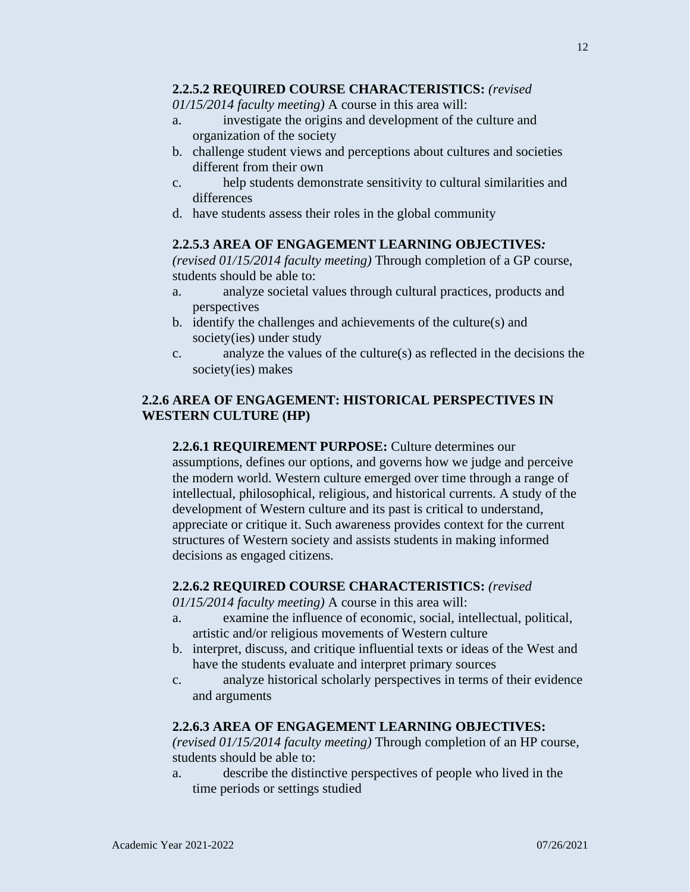### **2.2.5.2 REQUIRED COURSE CHARACTERISTICS:** *(revised*

*01/15/2014 faculty meeting)* A course in this area will:

- a. investigate the origins and development of the culture and organization of the society
- b. challenge student views and perceptions about cultures and societies different from their own
- c. help students demonstrate sensitivity to cultural similarities and differences
- d. have students assess their roles in the global community

# **2.2.5.3 AREA OF ENGAGEMENT LEARNING OBJECTIVES***:*

*(revised 01/15/2014 faculty meeting)* Through completion of a GP course, students should be able to:

- a. analyze societal values through cultural practices, products and perspectives
- b. identify the challenges and achievements of the culture(s) and society(ies) under study
- c. analyze the values of the culture(s) as reflected in the decisions the society(ies) makes

## **2.2.6 AREA OF ENGAGEMENT: HISTORICAL PERSPECTIVES IN WESTERN CULTURE (HP)**

**2.2.6.1 REQUIREMENT PURPOSE:** Culture determines our assumptions, defines our options, and governs how we judge and perceive the modern world. Western culture emerged over time through a range of intellectual, philosophical, religious, and historical currents. A study of the development of Western culture and its past is critical to understand, appreciate or critique it. Such awareness provides context for the current structures of Western society and assists students in making informed decisions as engaged citizens.

## **2.2.6.2 REQUIRED COURSE CHARACTERISTICS:** *(revised*

*01/15/2014 faculty meeting)* A course in this area will:

- a. examine the influence of economic, social, intellectual, political, artistic and/or religious movements of Western culture
- b. interpret, discuss, and critique influential texts or ideas of the West and have the students evaluate and interpret primary sources
- c. analyze historical scholarly perspectives in terms of their evidence and arguments

#### **2.2.6.3 AREA OF ENGAGEMENT LEARNING OBJECTIVES:**

*(revised 01/15/2014 faculty meeting)* Through completion of an HP course, students should be able to:

a. describe the distinctive perspectives of people who lived in the time periods or settings studied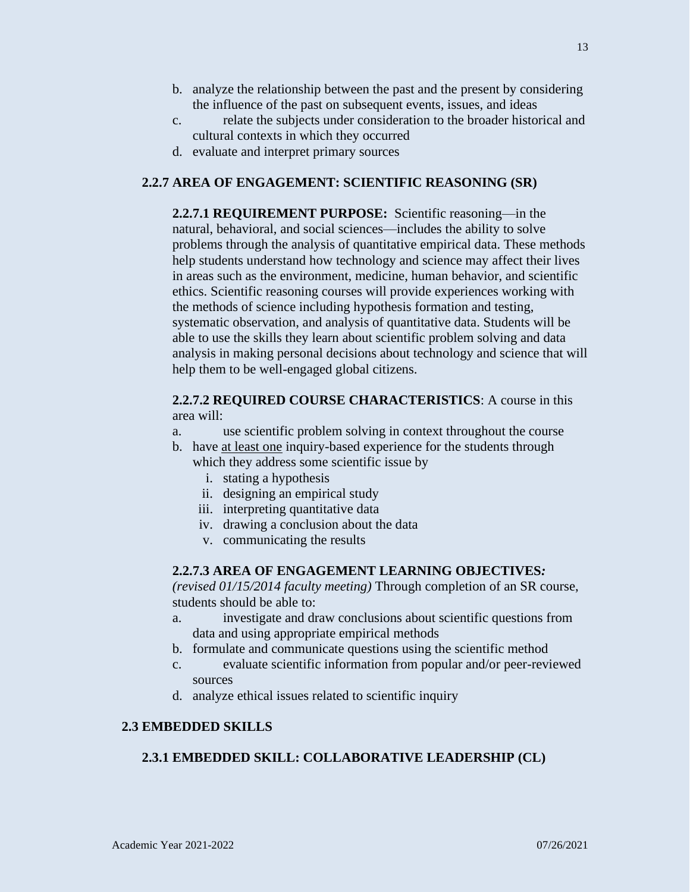- b. analyze the relationship between the past and the present by considering the influence of the past on subsequent events, issues, and ideas
- c. relate the subjects under consideration to the broader historical and cultural contexts in which they occurred
- d. evaluate and interpret primary sources

## **2.2.7 AREA OF ENGAGEMENT: SCIENTIFIC REASONING (SR)**

**2.2.7.1 REQUIREMENT PURPOSE:** Scientific reasoning—in the natural, behavioral, and social sciences—includes the ability to solve problems through the analysis of quantitative empirical data. These methods help students understand how technology and science may affect their lives in areas such as the environment, medicine, human behavior, and scientific ethics. Scientific reasoning courses will provide experiences working with the methods of science including hypothesis formation and testing, systematic observation, and analysis of quantitative data. Students will be able to use the skills they learn about scientific problem solving and data analysis in making personal decisions about technology and science that will help them to be well-engaged global citizens.

### **2.2.7.2 REQUIRED COURSE CHARACTERISTICS**: A course in this area will:

- a. use scientific problem solving in context throughout the course
- b. have at least one inquiry-based experience for the students through which they address some scientific issue by
	- i. stating a hypothesis
	- ii. designing an empirical study
	- iii. interpreting quantitative data
	- iv. drawing a conclusion about the data
	- v. communicating the results

# **2.2.7.3 AREA OF ENGAGEMENT LEARNING OBJECTIVES***:*

*(revised 01/15/2014 faculty meeting)* Through completion of an SR course, students should be able to:

- a. investigate and draw conclusions about scientific questions from data and using appropriate empirical methods
- b. formulate and communicate questions using the scientific method
- c. evaluate scientific information from popular and/or peer-reviewed sources
- d. analyze ethical issues related to scientific inquiry

# **2.3 EMBEDDED SKILLS**

## **2.3.1 EMBEDDED SKILL: COLLABORATIVE LEADERSHIP (CL)**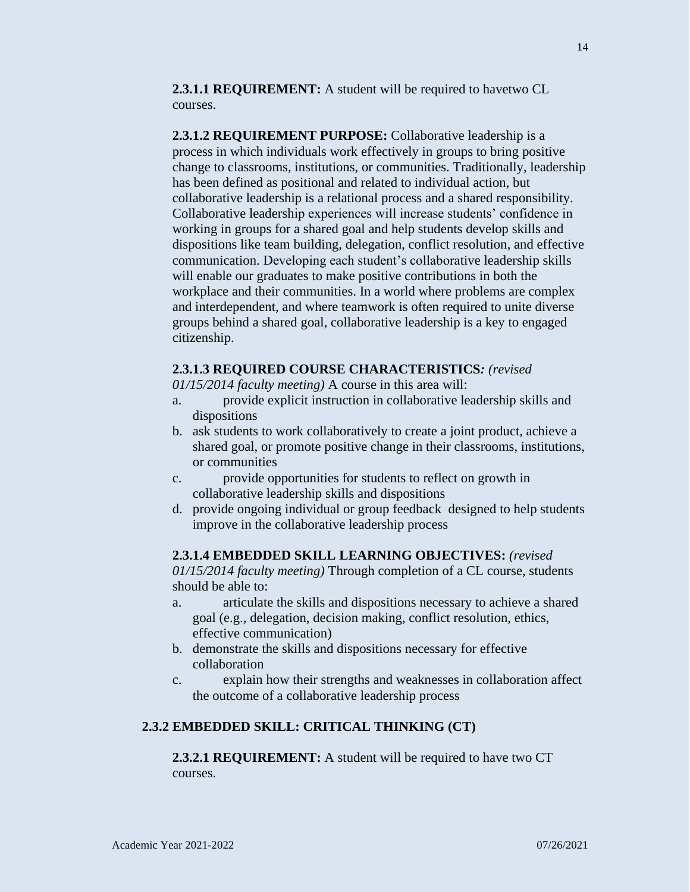**2.3.1.1 REQUIREMENT:** A student will be required to havetwo CL courses.

**2.3.1.2 REQUIREMENT PURPOSE:** Collaborative leadership is a process in which individuals work effectively in groups to bring positive change to classrooms, institutions, or communities. Traditionally, leadership has been defined as positional and related to individual action, but collaborative leadership is a relational process and a shared responsibility. Collaborative leadership experiences will increase students' confidence in working in groups for a shared goal and help students develop skills and dispositions like team building, delegation, conflict resolution, and effective communication. Developing each student's collaborative leadership skills will enable our graduates to make positive contributions in both the workplace and their communities. In a world where problems are complex and interdependent, and where teamwork is often required to unite diverse groups behind a shared goal, collaborative leadership is a key to engaged citizenship.

#### **2.3.1.3 REQUIRED COURSE CHARACTERISTICS***: (revised*

*01/15/2014 faculty meeting)* A course in this area will:

- a. provide explicit instruction in collaborative leadership skills and dispositions
- b. ask students to work collaboratively to create a joint product, achieve a shared goal, or promote positive change in their classrooms, institutions, or communities
- c. provide opportunities for students to reflect on growth in collaborative leadership skills and dispositions
- d. provide ongoing individual or group feedback designed to help students improve in the collaborative leadership process

#### **2.3.1.4 EMBEDDED SKILL LEARNING OBJECTIVES:** *(revised*

*01/15/2014 faculty meeting)* Through completion of a CL course, students should be able to:

- a. articulate the skills and dispositions necessary to achieve a shared goal (e.g., delegation, decision making, conflict resolution, ethics, effective communication)
- b. demonstrate the skills and dispositions necessary for effective collaboration
- c. explain how their strengths and weaknesses in collaboration affect the outcome of a collaborative leadership process

## **2.3.2 EMBEDDED SKILL: CRITICAL THINKING (CT)**

**2.3.2.1 REQUIREMENT:** A student will be required to have two CT courses.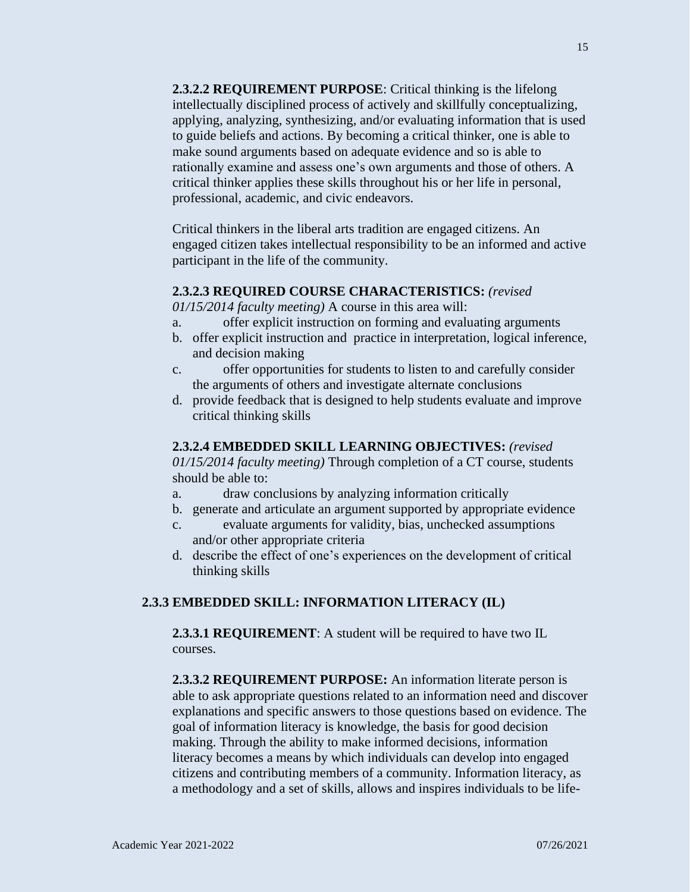**2.3.2.2 REQUIREMENT PURPOSE**: Critical thinking is the lifelong intellectually disciplined process of actively and skillfully conceptualizing, applying, analyzing, synthesizing, and/or evaluating information that is used to guide beliefs and actions. By becoming a critical thinker, one is able to make sound arguments based on adequate evidence and so is able to rationally examine and assess one's own arguments and those of others. A critical thinker applies these skills throughout his or her life in personal, professional, academic, and civic endeavors.

Critical thinkers in the liberal arts tradition are engaged citizens. An engaged citizen takes intellectual responsibility to be an informed and active participant in the life of the community.

## **2.3.2.3 REQUIRED COURSE CHARACTERISTICS:** *(revised*

*01/15/2014 faculty meeting)* A course in this area will:

- a. offer explicit instruction on forming and evaluating arguments
- b. offer explicit instruction and practice in interpretation, logical inference, and decision making
- c. offer opportunities for students to listen to and carefully consider the arguments of others and investigate alternate conclusions
- d. provide feedback that is designed to help students evaluate and improve critical thinking skills

#### **2.3.2.4 EMBEDDED SKILL LEARNING OBJECTIVES:** *(revised*

*01/15/2014 faculty meeting)* Through completion of a CT course, students should be able to:

- a. draw conclusions by analyzing information critically
- b. generate and articulate an argument supported by appropriate evidence
- c. evaluate arguments for validity, bias, unchecked assumptions and/or other appropriate criteria
- d. describe the effect of one's experiences on the development of critical thinking skills

## **2.3.3 EMBEDDED SKILL: INFORMATION LITERACY (IL)**

**2.3.3.1 REQUIREMENT**: A student will be required to have two IL courses.

**2.3.3.2 REQUIREMENT PURPOSE:** An information literate person is able to ask appropriate questions related to an information need and discover explanations and specific answers to those questions based on evidence. The goal of information literacy is knowledge, the basis for good decision making. Through the ability to make informed decisions, information literacy becomes a means by which individuals can develop into engaged citizens and contributing members of a community. Information literacy, as a methodology and a set of skills, allows and inspires individuals to be life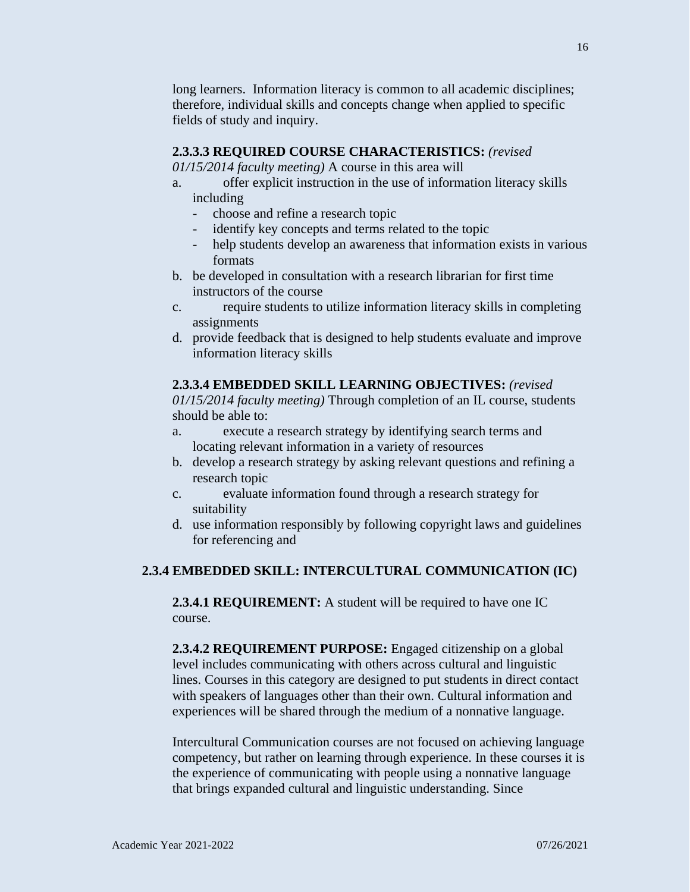long learners. Information literacy is common to all academic disciplines; therefore, individual skills and concepts change when applied to specific fields of study and inquiry.

#### **2.3.3.3 REQUIRED COURSE CHARACTERISTICS:** *(revised*

*01/15/2014 faculty meeting)* A course in this area will

- a. offer explicit instruction in the use of information literacy skills including
	- choose and refine a research topic
	- identify key concepts and terms related to the topic
	- help students develop an awareness that information exists in various formats
- b. be developed in consultation with a research librarian for first time instructors of the course
- c. require students to utilize information literacy skills in completing assignments
- d. provide feedback that is designed to help students evaluate and improve information literacy skills

### **2.3.3.4 EMBEDDED SKILL LEARNING OBJECTIVES:** *(revised*

*01/15/2014 faculty meeting)* Through completion of an IL course, students should be able to:

- a. execute a research strategy by identifying search terms and locating relevant information in a variety of resources
- b. develop a research strategy by asking relevant questions and refining a research topic
- c. evaluate information found through a research strategy for suitability
- d. use information responsibly by following copyright laws and guidelines for referencing and

#### **2.3.4 EMBEDDED SKILL: INTERCULTURAL COMMUNICATION (IC)**

**2.3.4.1 REQUIREMENT:** A student will be required to have one IC course.

**2.3.4.2 REQUIREMENT PURPOSE:** Engaged citizenship on a global level includes communicating with others across cultural and linguistic lines. Courses in this category are designed to put students in direct contact with speakers of languages other than their own. Cultural information and experiences will be shared through the medium of a nonnative language.

Intercultural Communication courses are not focused on achieving language competency, but rather on learning through experience. In these courses it is the experience of communicating with people using a nonnative language that brings expanded cultural and linguistic understanding. Since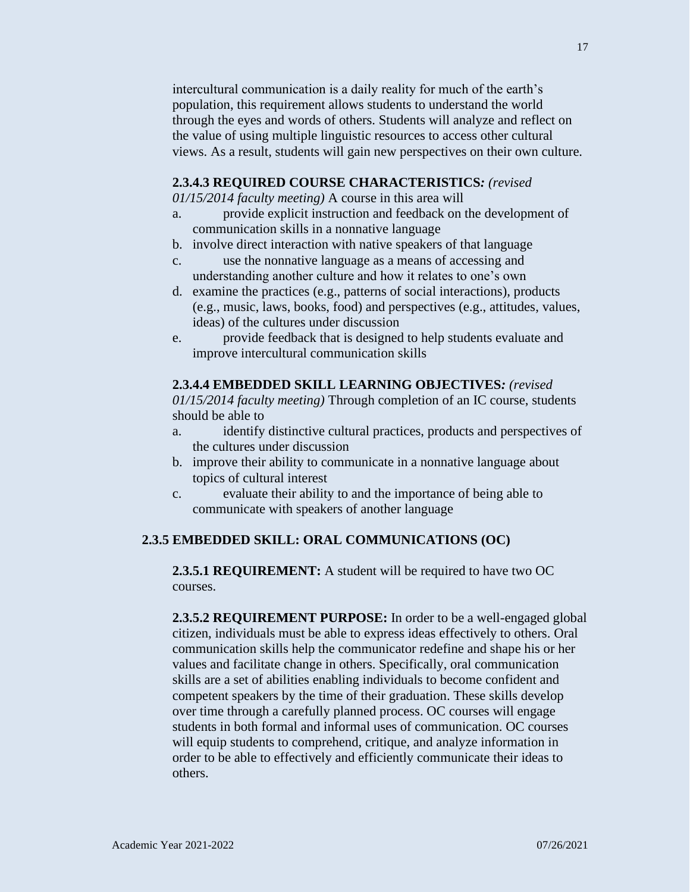intercultural communication is a daily reality for much of the earth's population, this requirement allows students to understand the world through the eyes and words of others. Students will analyze and reflect on the value of using multiple linguistic resources to access other cultural views. As a result, students will gain new perspectives on their own culture.

### **2.3.4.3 REQUIRED COURSE CHARACTERISTICS***: (revised*

*01/15/2014 faculty meeting)* A course in this area will

- a. provide explicit instruction and feedback on the development of communication skills in a nonnative language
- b. involve direct interaction with native speakers of that language
- c. use the nonnative language as a means of accessing and understanding another culture and how it relates to one's own
- d. examine the practices (e.g., patterns of social interactions), products (e.g., music, laws, books, food) and perspectives (e.g., attitudes, values, ideas) of the cultures under discussion
- e. provide feedback that is designed to help students evaluate and improve intercultural communication skills

### **2.3.4.4 EMBEDDED SKILL LEARNING OBJECTIVES***: (revised*

*01/15/2014 faculty meeting)* Through completion of an IC course, students should be able to

- a. identify distinctive cultural practices, products and perspectives of the cultures under discussion
- b. improve their ability to communicate in a nonnative language about topics of cultural interest
- c. evaluate their ability to and the importance of being able to communicate with speakers of another language

#### **2.3.5 EMBEDDED SKILL: ORAL COMMUNICATIONS (OC)**

**2.3.5.1 REQUIREMENT:** A student will be required to have two OC courses.

**2.3.5.2 REQUIREMENT PURPOSE:** In order to be a well-engaged global citizen, individuals must be able to express ideas effectively to others. Oral communication skills help the communicator redefine and shape his or her values and facilitate change in others. Specifically, oral communication skills are a set of abilities enabling individuals to become confident and competent speakers by the time of their graduation. These skills develop over time through a carefully planned process. OC courses will engage students in both formal and informal uses of communication. OC courses will equip students to comprehend, critique, and analyze information in order to be able to effectively and efficiently communicate their ideas to others.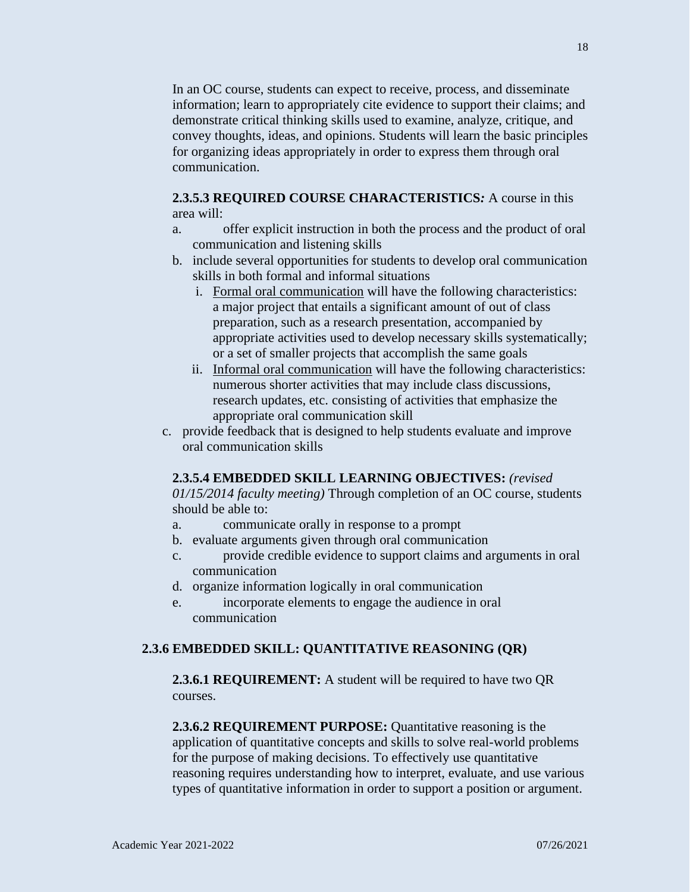In an OC course, students can expect to receive, process, and disseminate information; learn to appropriately cite evidence to support their claims; and demonstrate critical thinking skills used to examine, analyze, critique, and convey thoughts, ideas, and opinions. Students will learn the basic principles for organizing ideas appropriately in order to express them through oral communication.

### **2.3.5.3 REQUIRED COURSE CHARACTERISTICS***:* A course in this area will:

- a. offer explicit instruction in both the process and the product of oral communication and listening skills
- b. include several opportunities for students to develop oral communication skills in both formal and informal situations
	- i. Formal oral communication will have the following characteristics: a major project that entails a significant amount of out of class preparation, such as a research presentation, accompanied by appropriate activities used to develop necessary skills systematically; or a set of smaller projects that accomplish the same goals
	- ii. Informal oral communication will have the following characteristics: numerous shorter activities that may include class discussions, research updates, etc. consisting of activities that emphasize the appropriate oral communication skill
- c. provide feedback that is designed to help students evaluate and improve oral communication skills

## **2.3.5.4 EMBEDDED SKILL LEARNING OBJECTIVES:** *(revised*

*01/15/2014 faculty meeting)* Through completion of an OC course, students should be able to:

- a. communicate orally in response to a prompt
- b. evaluate arguments given through oral communication
- c. provide credible evidence to support claims and arguments in oral communication
- d. organize information logically in oral communication
- e. incorporate elements to engage the audience in oral communication

# **2.3.6 EMBEDDED SKILL: QUANTITATIVE REASONING (QR)**

**2.3.6.1 REQUIREMENT:** A student will be required to have two QR courses.

**2.3.6.2 REQUIREMENT PURPOSE:** Quantitative reasoning is the application of quantitative concepts and skills to solve real-world problems for the purpose of making decisions. To effectively use quantitative reasoning requires understanding how to interpret, evaluate, and use various types of quantitative information in order to support a position or argument.

18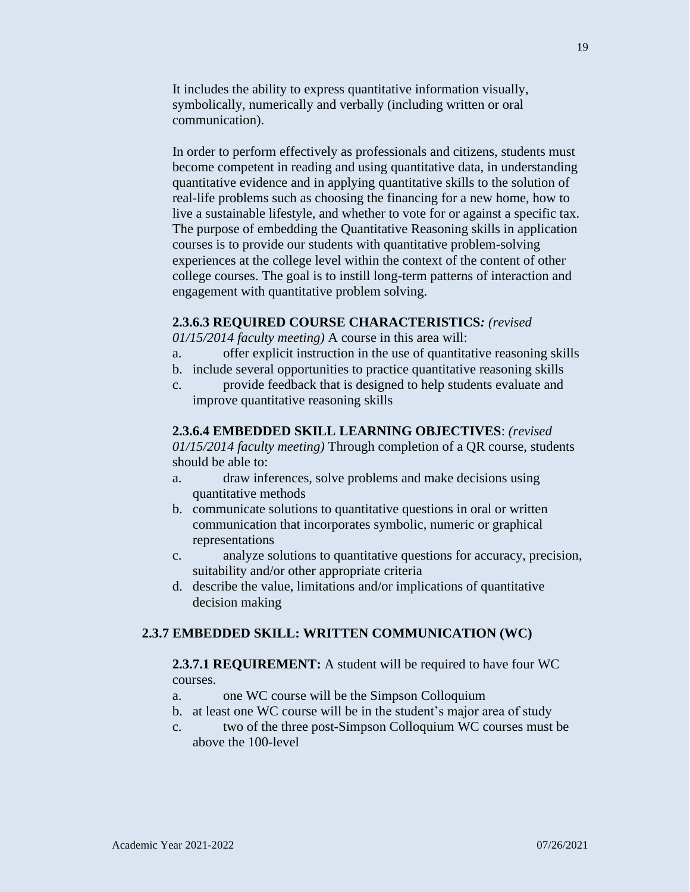It includes the ability to express quantitative information visually, symbolically, numerically and verbally (including written or oral communication).

In order to perform effectively as professionals and citizens, students must become competent in reading and using quantitative data, in understanding quantitative evidence and in applying quantitative skills to the solution of real-life problems such as choosing the financing for a new home, how to live a sustainable lifestyle, and whether to vote for or against a specific tax. The purpose of embedding the Quantitative Reasoning skills in application courses is to provide our students with quantitative problem-solving experiences at the college level within the context of the content of other college courses. The goal is to instill long-term patterns of interaction and engagement with quantitative problem solving.

### **2.3.6.3 REQUIRED COURSE CHARACTERISTICS***: (revised*

*01/15/2014 faculty meeting)* A course in this area will:

- a. offer explicit instruction in the use of quantitative reasoning skills
- b. include several opportunities to practice quantitative reasoning skills
- c. provide feedback that is designed to help students evaluate and improve quantitative reasoning skills

**2.3.6.4 EMBEDDED SKILL LEARNING OBJECTIVES**: *(revised 01/15/2014 faculty meeting)* Through completion of a QR course, students should be able to:

- a. draw inferences, solve problems and make decisions using quantitative methods
- b. communicate solutions to quantitative questions in oral or written communication that incorporates symbolic, numeric or graphical representations
- c. analyze solutions to quantitative questions for accuracy, precision, suitability and/or other appropriate criteria
- d. describe the value, limitations and/or implications of quantitative decision making

#### **2.3.7 EMBEDDED SKILL: WRITTEN COMMUNICATION (WC)**

**2.3.7.1 REQUIREMENT:** A student will be required to have four WC courses.

- a. one WC course will be the Simpson Colloquium
- b. at least one WC course will be in the student's major area of study
- c. two of the three post-Simpson Colloquium WC courses must be above the 100-level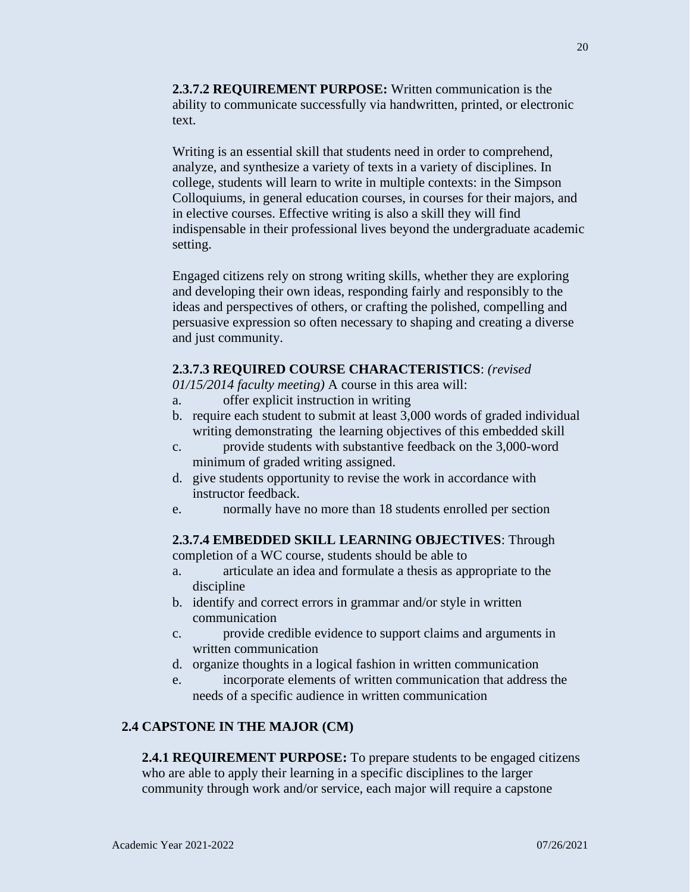**2.3.7.2 REQUIREMENT PURPOSE:** Written communication is the ability to communicate successfully via handwritten, printed, or electronic text.

Writing is an essential skill that students need in order to comprehend, analyze, and synthesize a variety of texts in a variety of disciplines. In college, students will learn to write in multiple contexts: in the Simpson Colloquiums, in general education courses, in courses for their majors, and in elective courses. Effective writing is also a skill they will find indispensable in their professional lives beyond the undergraduate academic setting.

Engaged citizens rely on strong writing skills, whether they are exploring and developing their own ideas, responding fairly and responsibly to the ideas and perspectives of others, or crafting the polished, compelling and persuasive expression so often necessary to shaping and creating a diverse and just community.

#### **2.3.7.3 REQUIRED COURSE CHARACTERISTICS**: *(revised*

*01/15/2014 faculty meeting)* A course in this area will:

- a. offer explicit instruction in writing
- b. require each student to submit at least 3,000 words of graded individual writing demonstrating the learning objectives of this embedded skill
- c. provide students with substantive feedback on the 3,000-word minimum of graded writing assigned.
- d. give students opportunity to revise the work in accordance with instructor feedback.
- e. normally have no more than 18 students enrolled per section

# **2.3.7.4 EMBEDDED SKILL LEARNING OBJECTIVES**: Through

completion of a WC course, students should be able to

- a. articulate an idea and formulate a thesis as appropriate to the discipline
- b. identify and correct errors in grammar and/or style in written communication
- c. provide credible evidence to support claims and arguments in written communication
- d. organize thoughts in a logical fashion in written communication
- e. incorporate elements of written communication that address the needs of a specific audience in written communication

## **2.4 CAPSTONE IN THE MAJOR (CM)**

**2.4.1 REQUIREMENT PURPOSE:** To prepare students to be engaged citizens who are able to apply their learning in a specific disciplines to the larger community through work and/or service, each major will require a capstone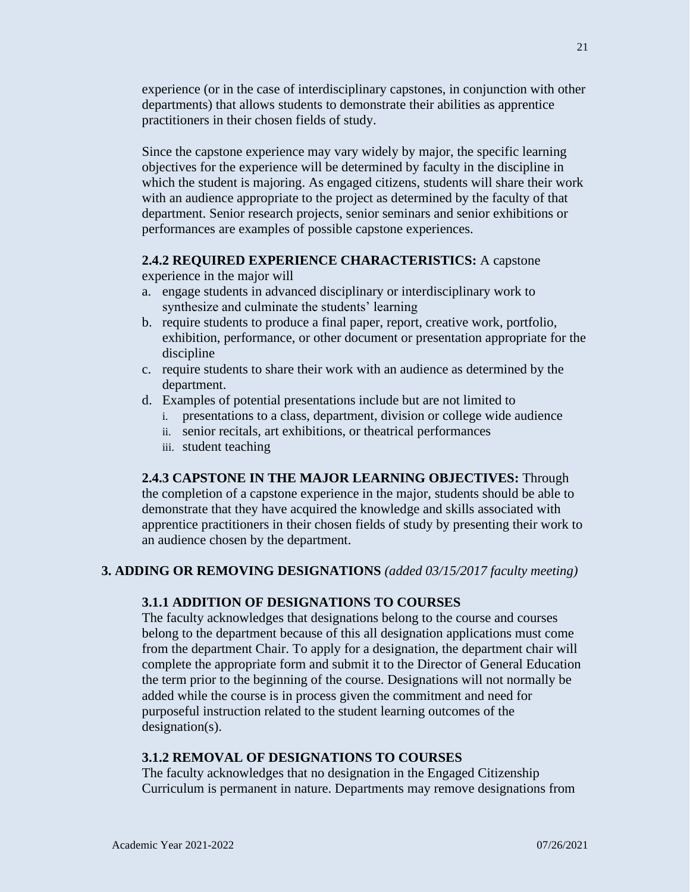experience (or in the case of interdisciplinary capstones, in conjunction with other departments) that allows students to demonstrate their abilities as apprentice practitioners in their chosen fields of study.

Since the capstone experience may vary widely by major, the specific learning objectives for the experience will be determined by faculty in the discipline in which the student is majoring. As engaged citizens, students will share their work with an audience appropriate to the project as determined by the faculty of that department. Senior research projects, senior seminars and senior exhibitions or performances are examples of possible capstone experiences.

# **2.4.2 REQUIRED EXPERIENCE CHARACTERISTICS:** A capstone

experience in the major will

- a. engage students in advanced disciplinary or interdisciplinary work to synthesize and culminate the students' learning
- b. require students to produce a final paper, report, creative work, portfolio, exhibition, performance, or other document or presentation appropriate for the discipline
- c. require students to share their work with an audience as determined by the department.
- d. Examples of potential presentations include but are not limited to
	- i. presentations to a class, department, division or college wide audience
	- ii. senior recitals, art exhibitions, or theatrical performances
	- iii. student teaching

## **2.4.3 CAPSTONE IN THE MAJOR LEARNING OBJECTIVES:** Through

the completion of a capstone experience in the major, students should be able to demonstrate that they have acquired the knowledge and skills associated with apprentice practitioners in their chosen fields of study by presenting their work to an audience chosen by the department.

# **3. ADDING OR REMOVING DESIGNATIONS** *(added 03/15/2017 faculty meeting)*

#### **3.1.1 ADDITION OF DESIGNATIONS TO COURSES**

The faculty acknowledges that designations belong to the course and courses belong to the department because of this all designation applications must come from the department Chair. To apply for a designation, the department chair will complete the appropriate form and submit it to the Director of General Education the term prior to the beginning of the course. Designations will not normally be added while the course is in process given the commitment and need for purposeful instruction related to the student learning outcomes of the designation(s).

## **3.1.2 REMOVAL OF DESIGNATIONS TO COURSES**

The faculty acknowledges that no designation in the Engaged Citizenship Curriculum is permanent in nature. Departments may remove designations from